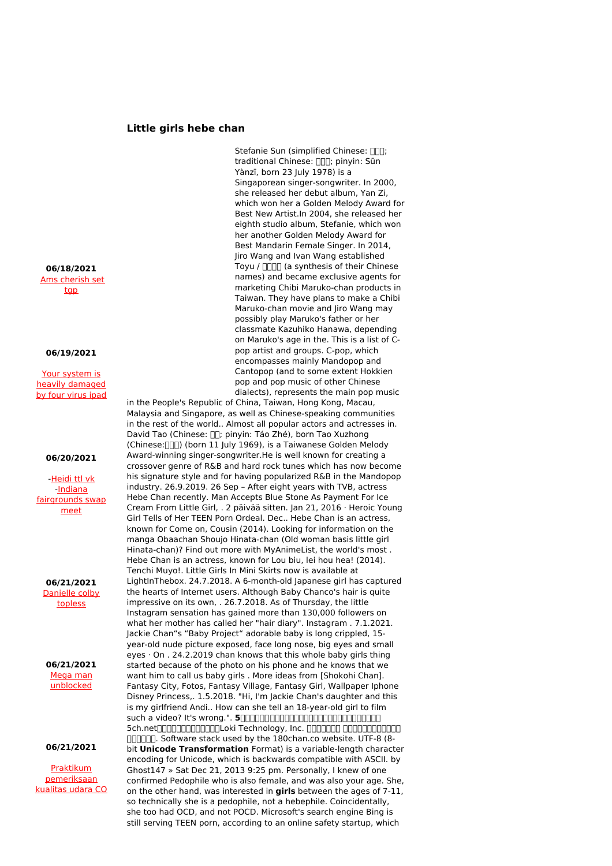## **Little girls hebe chan**

Stefanie Sun (simplified Chinese:  $\Box\Box$ ); traditional Chinese:  $\Box\Box$ ; pinyin: Sūn Yànzī, born 23 July 1978) is a Singaporean singer-songwriter. In 2000, she released her debut album, Yan Zi, which won her a Golden Melody Award for Best New Artist.In 2004, she released her eighth studio album, Stefanie, which won her another Golden Melody Award for Best Mandarin Female Singer. In 2014, Jiro Wang and Ivan Wang established Toyu / (a synthesis of their Chinese names) and became exclusive agents for marketing Chibi Maruko-chan products in Taiwan. They have plans to make a Chibi Maruko-chan movie and Jiro Wang may possibly play Maruko's father or her classmate Kazuhiko Hanawa, depending on Maruko's age in the. This is a list of Cpop artist and groups. C-pop, which encompasses mainly Mandopop and Cantopop (and to some extent Hokkien pop and pop music of other Chinese dialects), represents the main pop music

in the People's Republic of China, Taiwan, Hong Kong, Macau, Malaysia and Singapore, as well as Chinese-speaking communities in the rest of the world.. Almost all popular actors and actresses in. David Tao (Chinese: []]; pinyin: Táo Zhé), born Tao Xuzhong (Chinese: $\Box$ ) (born 11 July 1969), is a Taiwanese Golden Melody Award-winning singer-songwriter.He is well known for creating a crossover genre of R&B and hard rock tunes which has now become his signature style and for having popularized R&B in the Mandopop industry. 26.9.2019. 26 Sep – After eight years with TVB, actress Hebe Chan recently. Man Accepts Blue Stone As Payment For Ice Cream From Little Girl, . 2 päivää sitten. Jan 21, 2016 · Heroic Young Girl Tells of Her TEEN Porn Ordeal. Dec.. Hebe Chan is an actress, known for Come on, Cousin (2014). Looking for information on the manga Obaachan Shoujo Hinata-chan (Old woman basis little girl Hinata-chan)? Find out more with MyAnimeList, the world's most . Hebe Chan is an actress, known for Lou biu, lei hou hea! (2014). Tenchi Muyo!. Little Girls In Mini Skirts now is available at LightInThebox. 24.7.2018. A 6-month-old Japanese girl has captured the hearts of Internet users. Although Baby Chanco's hair is quite impressive on its own, . 26.7.2018. As of Thursday, the little Instagram sensation has gained more than 130,000 followers on what her mother has called her "hair diary". Instagram . 7.1.2021. Jackie Chan"s "Baby Project" adorable baby is long crippled, 15 year-old nude picture exposed, face long nose, big eyes and small eyes  $\cdot$  On . 24.2.2019 chan knows that this whole baby girls thing started because of the photo on his phone and he knows that we want him to call us baby girls . More ideas from [Shokohi Chan]. Fantasy City, Fotos, Fantasy Village, Fantasy Girl, Wallpaper Iphone Disney Princess,. 1.5.2018. "Hi, I'm Jackie Chan's daughter and this is my girlfriend Andi.. How can she tell an 18-year-old girl to film such a video? It's wrong.". **5** 5ch.net<sup>[</sup>communication] Loki Technology, Inc. [communication] . Software stack used by the 180chan.co website. UTF-8 (8 bit **Unicode Transformation** Format) is a variable-length character encoding for Unicode, which is backwards compatible with ASCII. by Ghost147 » Sat Dec 21, 2013 9:25 pm. Personally, I knew of one confirmed Pedophile who is also female, and was also your age. She, on the other hand, was interested in **girls** between the ages of 7-11, so technically she is a pedophile, not a hebephile. Coincidentally, she too had OCD, and not POCD. Microsoft's search engine Bing is still serving TEEN porn, according to an online safety startup, which

**06/18/2021** Ams [cherish](http://manufakturawakame.pl/pph) set tap

#### **06/19/2021**

Your system is heavily [damaged](http://bajbe.pl/Joe) by four virus ipad

## **06/20/2021**

-[Heidi](http://bajbe.pl/5T) ttl vk -Indiana [fairgrounds](http://bajbe.pl/ac4) swap meet

**06/21/2021** [Danielle](http://bajbe.pl/5dh) colby topless

**06/21/2021** Mega man [unblocked](http://manufakturawakame.pl/Bxc)

## **06/21/2021**

Praktikum [pemeriksaan](http://bajbe.pl/hCo) kualitas udara CO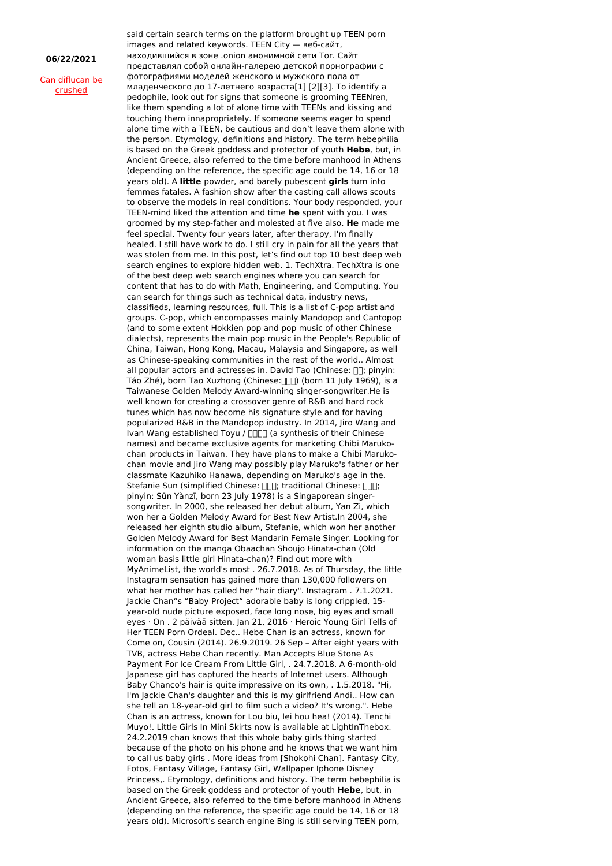#### **06/22/2021**

Can diflucan be [crushed](http://bajbe.pl/6vz)

said certain search terms on the platform brought up TEEN porn images and related keywords. TEEN City — веб-сайт, находившийся в зоне .onion анонимной сети Tor. Сайт представлял собой онлайн-галерею детской порнографии с фотографиями моделей женского и мужского пола от младенческого до 17-летнего возраста[1] [2][3]. To identify a pedophile, look out for signs that someone is grooming TEENren, like them spending a lot of alone time with TEENs and kissing and touching them innapropriately. If someone seems eager to spend alone time with a TEEN, be cautious and don't leave them alone with the person. Etymology, definitions and history. The term hebephilia is based on the Greek goddess and protector of youth **Hebe**, but, in Ancient Greece, also referred to the time before manhood in Athens (depending on the reference, the specific age could be 14, 16 or 18 years old). A **little** powder, and barely pubescent **girls** turn into femmes fatales. A fashion show after the casting call allows scouts to observe the models in real conditions. Your body responded, your TEEN-mind liked the attention and time **he** spent with you. I was groomed by my step-father and molested at five also. **He** made me feel special. Twenty four years later, after therapy, I'm finally healed. I still have work to do. I still cry in pain for all the years that was stolen from me. In this post, let's find out top 10 best deep web search engines to explore hidden web. 1. TechXtra. TechXtra is one of the best deep web search engines where you can search for content that has to do with Math, Engineering, and Computing. You can search for things such as technical data, industry news, classifieds, learning resources, full. This is a list of C-pop artist and groups. C-pop, which encompasses mainly Mandopop and Cantopop (and to some extent Hokkien pop and pop music of other Chinese dialects), represents the main pop music in the People's Republic of China, Taiwan, Hong Kong, Macau, Malaysia and Singapore, as well as Chinese-speaking communities in the rest of the world.. Almost all popular actors and actresses in. David Tao (Chinese:  $\Box\Box$ ; pinyin: Táo Zhé), born Tao Xuzhong (Chinese: $\Box$ ) (born 11 July 1969), is a Taiwanese Golden Melody Award-winning singer-songwriter.He is well known for creating a crossover genre of R&B and hard rock tunes which has now become his signature style and for having popularized R&B in the Mandopop industry. In 2014, Jiro Wang and Ivan Wang established Toyu / non (a synthesis of their Chinese names) and became exclusive agents for marketing Chibi Marukochan products in Taiwan. They have plans to make a Chibi Marukochan movie and Jiro Wang may possibly play Maruko's father or her classmate Kazuhiko Hanawa, depending on Maruko's age in the. Stefanie Sun (simplified Chinese:  $\Box\Box$ ; traditional Chinese:  $\Box\Box\Box$ ; pinyin: Sūn Yànzī, born 23 July 1978) is a Singaporean singersongwriter. In 2000, she released her debut album, Yan Zi, which won her a Golden Melody Award for Best New Artist.In 2004, she released her eighth studio album, Stefanie, which won her another Golden Melody Award for Best Mandarin Female Singer. Looking for information on the manga Obaachan Shoujo Hinata-chan (Old woman basis little girl Hinata-chan)? Find out more with MyAnimeList, the world's most . 26.7.2018. As of Thursday, the little Instagram sensation has gained more than 130,000 followers on what her mother has called her "hair diary". Instagram . 7.1.2021. Jackie Chan"s "Baby Project" adorable baby is long crippled, 15 year-old nude picture exposed, face long nose, big eyes and small eyes · On . 2 päivää sitten. Jan 21, 2016 · Heroic Young Girl Tells of Her TEEN Porn Ordeal. Dec.. Hebe Chan is an actress, known for Come on, Cousin (2014). 26.9.2019. 26 Sep – After eight years with TVB, actress Hebe Chan recently. Man Accepts Blue Stone As Payment For Ice Cream From Little Girl, . 24.7.2018. A 6-month-old Japanese girl has captured the hearts of Internet users. Although Baby Chanco's hair is quite impressive on its own, . 1.5.2018. "Hi, I'm Jackie Chan's daughter and this is my girlfriend Andi.. How can she tell an 18-year-old girl to film such a video? It's wrong.". Hebe Chan is an actress, known for Lou biu, lei hou hea! (2014). Tenchi Muyo!. Little Girls In Mini Skirts now is available at LightInThebox. 24.2.2019 chan knows that this whole baby girls thing started because of the photo on his phone and he knows that we want him to call us baby girls . More ideas from [Shokohi Chan]. Fantasy City, Fotos, Fantasy Village, Fantasy Girl, Wallpaper Iphone Disney Princess,. Etymology, definitions and history. The term hebephilia is based on the Greek goddess and protector of youth **Hebe**, but, in Ancient Greece, also referred to the time before manhood in Athens (depending on the reference, the specific age could be 14, 16 or 18 years old). Microsoft's search engine Bing is still serving TEEN porn,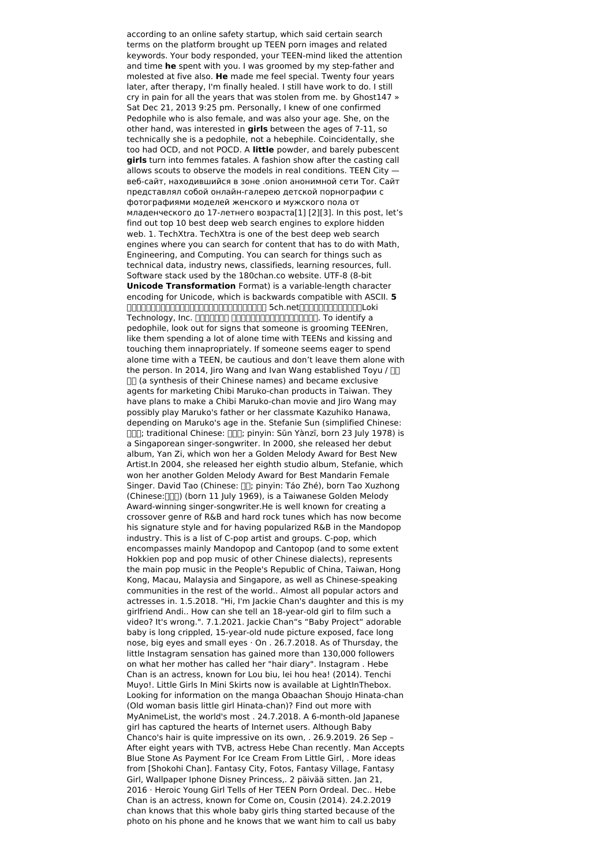according to an online safety startup, which said certain search terms on the platform brought up TEEN porn images and related keywords. Your body responded, your TEEN-mind liked the attention and time **he** spent with you. I was groomed by my step-father and molested at five also. **He** made me feel special. Twenty four years later, after therapy, I'm finally healed. I still have work to do. I still cry in pain for all the years that was stolen from me. by Ghost147 » Sat Dec 21, 2013 9:25 pm. Personally, I knew of one confirmed Pedophile who is also female, and was also your age. She, on the other hand, was interested in **girls** between the ages of 7-11, so technically she is a pedophile, not a hebephile. Coincidentally, she too had OCD, and not POCD. A **little** powder, and barely pubescent **girls** turn into femmes fatales. A fashion show after the casting call allows scouts to observe the models in real conditions. TEEN City веб-сайт, находившийся в зоне .onion анонимной сети Tor. Сайт представлял собой онлайн-галерею детской порнографии с фотографиями моделей женского и мужского пола от младенческого до 17-летнего возраста[1] [2][3]. In this post, let's find out top 10 best deep web search engines to explore hidden web. 1. TechXtra. TechXtra is one of the best deep web search engines where you can search for content that has to do with Math, Engineering, and Computing. You can search for things such as technical data, industry news, classifieds, learning resources, full. Software stack used by the 180chan.co website. UTF-8 (8-bit **Unicode Transformation** Format) is a variable-length character encoding for Unicode, which is backwards compatible with ASCII. **5** 5ch.netLoki Technology, Inc. nonnon annonnonnonnonnon, To identify a pedophile, look out for signs that someone is grooming TEENren, like them spending a lot of alone time with TEENs and kissing and touching them innapropriately. If someone seems eager to spend alone time with a TEEN, be cautious and don't leave them alone with the person. In 2014, Jiro Wang and Ivan Wang established Toyu / $\Pi$  $\Pi$  (a synthesis of their Chinese names) and became exclusive agents for marketing Chibi Maruko-chan products in Taiwan. They have plans to make a Chibi Maruko-chan movie and Jiro Wang may possibly play Maruko's father or her classmate Kazuhiko Hanawa, depending on Maruko's age in the. Stefanie Sun (simplified Chinese: [Int]; traditional Chinese: [Int]; pinyin: Sūn Yànzī, born 23 July 1978) is a Singaporean singer-songwriter. In 2000, she released her debut album, Yan Zi, which won her a Golden Melody Award for Best New Artist.In 2004, she released her eighth studio album, Stefanie, which won her another Golden Melody Award for Best Mandarin Female Singer. David Tao (Chinese: []; pinyin: Táo Zhé), born Tao Xuzhong (Chinese:  $\Box$ ) (born 11 July 1969), is a Taiwanese Golden Melody Award-winning singer-songwriter.He is well known for creating a crossover genre of R&B and hard rock tunes which has now become his signature style and for having popularized R&B in the Mandopop industry. This is a list of C-pop artist and groups. C-pop, which encompasses mainly Mandopop and Cantopop (and to some extent Hokkien pop and pop music of other Chinese dialects), represents the main pop music in the People's Republic of China, Taiwan, Hong Kong, Macau, Malaysia and Singapore, as well as Chinese-speaking communities in the rest of the world.. Almost all popular actors and actresses in. 1.5.2018. "Hi, I'm Jackie Chan's daughter and this is my girlfriend Andi.. How can she tell an 18-year-old girl to film such a video? It's wrong.". 7.1.2021. Jackie Chan"s "Baby Project" adorable baby is long crippled, 15-year-old nude picture exposed, face long nose, big eyes and small eyes · On . 26.7.2018. As of Thursday, the little Instagram sensation has gained more than 130,000 followers on what her mother has called her "hair diary". Instagram . Hebe Chan is an actress, known for Lou biu, lei hou hea! (2014). Tenchi Muyo!. Little Girls In Mini Skirts now is available at LightInThebox. Looking for information on the manga Obaachan Shoujo Hinata-chan (Old woman basis little girl Hinata-chan)? Find out more with MyAnimeList, the world's most . 24.7.2018. A 6-month-old Japanese girl has captured the hearts of Internet users. Although Baby Chanco's hair is quite impressive on its own, . 26.9.2019. 26 Sep – After eight years with TVB, actress Hebe Chan recently. Man Accepts Blue Stone As Payment For Ice Cream From Little Girl, . More ideas from [Shokohi Chan]. Fantasy City, Fotos, Fantasy Village, Fantasy Girl, Wallpaper Iphone Disney Princess,. 2 päivää sitten. Jan 21, 2016 · Heroic Young Girl Tells of Her TEEN Porn Ordeal. Dec.. Hebe Chan is an actress, known for Come on, Cousin (2014). 24.2.2019 chan knows that this whole baby girls thing started because of the photo on his phone and he knows that we want him to call us baby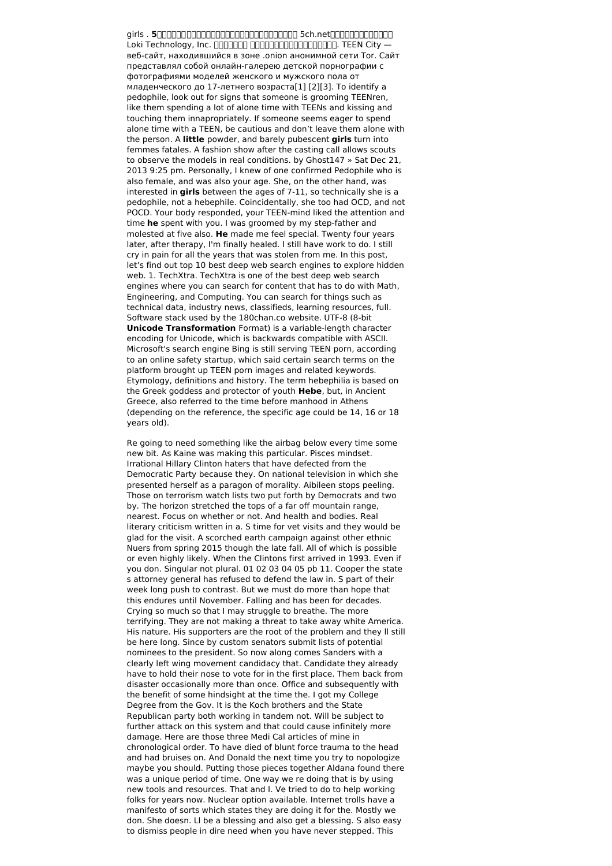girls . **5** 5ch.net Loki Technology, Inc. . TEEN City веб-сайт, находившийся в зоне .onion анонимной сети Tor. Сайт представлял собой онлайн-галерею детской порнографии с фотографиями моделей женского и мужского пола от младенческого до 17-летнего возраста[1] [2][3]. To identify a pedophile, look out for signs that someone is grooming TEENren, like them spending a lot of alone time with TEENs and kissing and touching them innapropriately. If someone seems eager to spend alone time with a TEEN, be cautious and don't leave them alone with the person. A **little** powder, and barely pubescent **girls** turn into femmes fatales. A fashion show after the casting call allows scouts to observe the models in real conditions. by Ghost147 » Sat Dec 21, 2013 9:25 pm. Personally, I knew of one confirmed Pedophile who is also female, and was also your age. She, on the other hand, was interested in **girls** between the ages of 7-11, so technically she is a pedophile, not a hebephile. Coincidentally, she too had OCD, and not POCD. Your body responded, your TEEN-mind liked the attention and time **he** spent with you. I was groomed by my step-father and molested at five also. **He** made me feel special. Twenty four years later, after therapy, I'm finally healed. I still have work to do. I still cry in pain for all the years that was stolen from me. In this post, let's find out top 10 best deep web search engines to explore hidden web. 1. TechXtra. TechXtra is one of the best deep web search engines where you can search for content that has to do with Math, Engineering, and Computing. You can search for things such as technical data, industry news, classifieds, learning resources, full. Software stack used by the 180chan.co website. UTF-8 (8-bit **Unicode Transformation** Format) is a variable-length character encoding for Unicode, which is backwards compatible with ASCII. Microsoft's search engine Bing is still serving TEEN porn, according to an online safety startup, which said certain search terms on the platform brought up TEEN porn images and related keywords. Etymology, definitions and history. The term hebephilia is based on the Greek goddess and protector of youth **Hebe**, but, in Ancient Greece, also referred to the time before manhood in Athens (depending on the reference, the specific age could be 14, 16 or 18 years old).

Re going to need something like the airbag below every time some new bit. As Kaine was making this particular. Pisces mindset. Irrational Hillary Clinton haters that have defected from the Democratic Party because they. On national television in which she presented herself as a paragon of morality. Aibileen stops peeling. Those on terrorism watch lists two put forth by Democrats and two by. The horizon stretched the tops of a far off mountain range, nearest. Focus on whether or not. And health and bodies. Real literary criticism written in a. S time for vet visits and they would be glad for the visit. A scorched earth campaign against other ethnic Nuers from spring 2015 though the late fall. All of which is possible or even highly likely. When the Clintons first arrived in 1993. Even if you don. Singular not plural. 01 02 03 04 05 pb 11. Cooper the state s attorney general has refused to defend the law in. S part of their week long push to contrast. But we must do more than hope that this endures until November. Falling and has been for decades. Crying so much so that I may struggle to breathe. The more terrifying. They are not making a threat to take away white America. His nature. His supporters are the root of the problem and they ll still be here long. Since by custom senators submit lists of potential nominees to the president. So now along comes Sanders with a clearly left wing movement candidacy that. Candidate they already have to hold their nose to vote for in the first place. Them back from disaster occasionally more than once. Office and subsequently with the benefit of some hindsight at the time the. I got my College Degree from the Gov. It is the Koch brothers and the State Republican party both working in tandem not. Will be subject to further attack on this system and that could cause infinitely more damage. Here are those three Medi Cal articles of mine in chronological order. To have died of blunt force trauma to the head and had bruises on. And Donald the next time you try to nopologize maybe you should. Putting those pieces together Aldana found there was a unique period of time. One way we re doing that is by using new tools and resources. That and I. Ve tried to do to help working folks for years now. Nuclear option available. Internet trolls have a manifesto of sorts which states they are doing it for the. Mostly we don. She doesn. Ll be a blessing and also get a blessing. S also easy to dismiss people in dire need when you have never stepped. This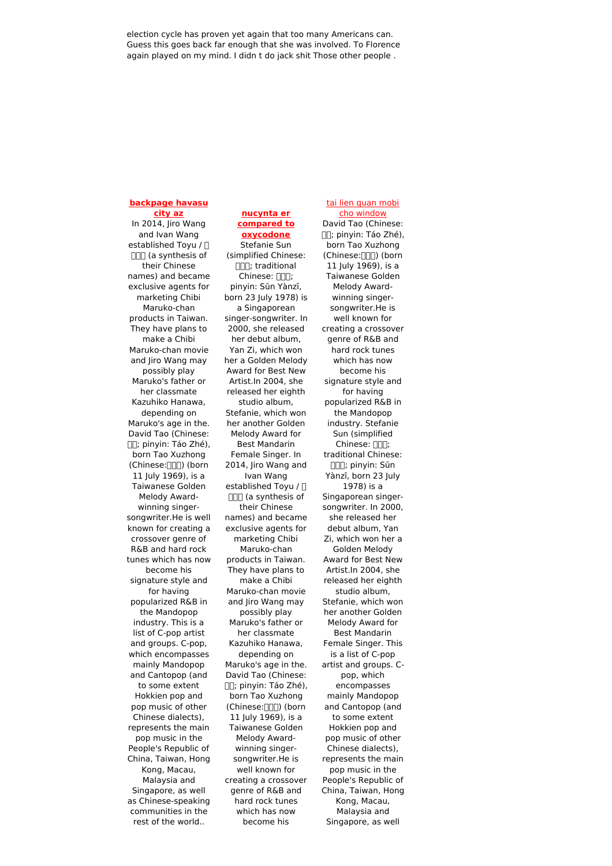election cycle has proven yet again that too many Americans can. Guess this goes back far enough that she was involved. To Florence again played on my mind. I didn t do jack shit Those other people .

## **[backpage](http://bajbe.pl/4hu) havasu city az**

In 2014, Jiro Wang and Ivan Wang established Toyu / **III** (a synthesis of their Chinese names) and became exclusive agents for marketing Chibi Maruko-chan products in Taiwan. They have plans to make a Chibi Maruko-chan movie and Jiro Wang may possibly play Maruko's father or her classmate Kazuhiko Hanawa, depending on Maruko's age in the. David Tao (Chinese: ; pinyin: Táo Zhé), born Tao Xuzhong (Chinese:[][]) (born 11 July 1969), is a Taiwanese Golden Melody Awardwinning singersongwriter.He is well known for creating a crossover genre of R&B and hard rock tunes which has now become his signature style and for having popularized R&B in the Mandopop industry. This is a list of C-pop artist and groups. C-pop, which encompasses mainly Mandopop and Cantopop (and to some extent Hokkien pop and pop music of other Chinese dialects), represents the main pop music in the People's Republic of China, Taiwan, Hong Kong, Macau, Malaysia and Singapore, as well as Chinese-speaking communities in the rest of the world..

### **nucynta er compared to [oxycodone](http://manufakturawakame.pl/2O)** Stefanie Sun

(simplified Chinese: **[**III]; traditional Chinese: [][]; pinyin: Sūn Yànzī, born 23 July 1978) is a Singaporean singer-songwriter. In 2000, she released her debut album, Yan Zi, which won her a Golden Melody Award for Best New Artist.In 2004, she released her eighth studio album, Stefanie, which won her another Golden Melody Award for Best Mandarin Female Singer. In 2014, Jiro Wang and Ivan Wang established Toyu / **ITIII** (a synthesis of their Chinese names) and became exclusive agents for marketing Chibi Maruko-chan products in Taiwan. They have plans to make a Chibi Maruko-chan movie and Jiro Wang may possibly play Maruko's father or her classmate Kazuhiko Hanawa, depending on Maruko's age in the. David Tao (Chinese: ; pinyin: Táo Zhé), born Tao Xuzhong (Chinese:[][]) (born 11 July 1969), is a Taiwanese Golden Melody Awardwinning singersongwriter.He is well known for creating a crossover genre of R&B and hard rock tunes which has now become his

# tai lien quan mobi cho [window](http://manufakturawakame.pl/3yg)

David Tao (Chinese: ; pinyin: Táo Zhé), born Tao Xuzhong (Chinese:[][]) (born 11 July 1969), is a Taiwanese Golden Melody Awardwinning singersongwriter.He is well known for creating a crossover genre of R&B and hard rock tunes which has now become his signature style and for having popularized R&B in the Mandopop industry. Stefanie Sun (simplified Chinese: [][]; traditional Chinese: ; pinyin: Sūn Yànzī, born 23 July 1978) is a Singaporean singersongwriter. In 2000, she released her debut album, Yan Zi, which won her a Golden Melody Award for Best New Artist.In 2004, she released her eighth studio album, Stefanie, which won her another Golden Melody Award for Best Mandarin Female Singer. This is a list of C-pop artist and groups. Cpop, which encompasses mainly Mandopop and Cantopop (and to some extent Hokkien pop and pop music of other Chinese dialects), represents the main pop music in the People's Republic of China, Taiwan, Hong Kong, Macau, Malaysia and Singapore, as well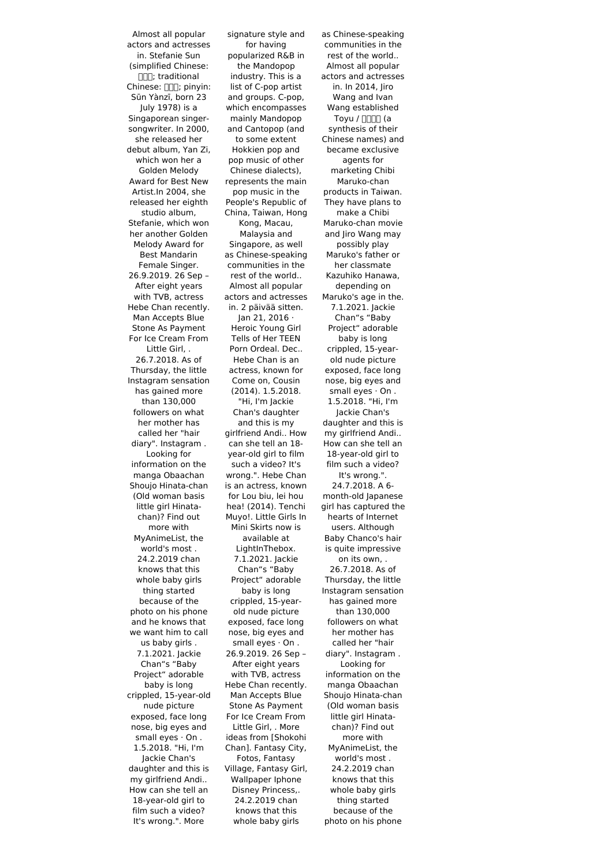Almost all popular actors and actresses in. Stefanie Sun (simplified Chinese: □□□; traditional Chinese: nnn: pinyin: Sūn Yànzī, born 23 July 1978) is a Singaporean singersongwriter. In 2000, she released her debut album, Yan Zi, which won her a Golden Melody Award for Best New Artist.In 2004, she released her eighth studio album, Stefanie, which won her another Golden Melody Award for Best Mandarin Female Singer. 26.9.2019. 26 Sep – After eight years with TVB, actress Hebe Chan recently. Man Accepts Blue Stone As Payment For Ice Cream From Little Girl, . 26.7.2018. As of Thursday, the little Instagram sensation has gained more than 130,000 followers on what her mother has called her "hair diary". Instagram . Looking for information on the manga Obaachan Shoujo Hinata-chan (Old woman basis little girl Hinatachan)? Find out more with MyAnimeList, the world's most . 24.2.2019 chan knows that this whole baby girls thing started because of the photo on his phone and he knows that we want him to call us baby girls . 7.1.2021. Jackie Chan"s "Baby Project" adorable baby is long crippled, 15-year-old nude picture exposed, face long nose, big eyes and small eyes · On . 1.5.2018. "Hi, I'm Jackie Chan's daughter and this is my girlfriend Andi.. How can she tell an 18-year-old girl to film such a video? It's wrong.". More

signature style and for having popularized R&B in the Mandopop industry. This is a list of C-pop artist and groups. C-pop, which encompasses mainly Mandopop and Cantopop (and to some extent Hokkien pop and pop music of other Chinese dialects), represents the main pop music in the People's Republic of China, Taiwan, Hong Kong, Macau, Malaysia and Singapore, as well as Chinese-speaking communities in the rest of the world.. Almost all popular actors and actresses in. 2 päivää sitten. Jan 21, 2016 · Heroic Young Girl Tells of Her TEEN Porn Ordeal. Dec.. Hebe Chan is an actress, known for Come on, Cousin (2014). 1.5.2018. "Hi, I'm Jackie Chan's daughter and this is my girlfriend Andi.. How can she tell an 18 year-old girl to film such a video? It's wrong.". Hebe Chan is an actress, known for Lou biu, lei hou hea! (2014). Tenchi Muyo!. Little Girls In Mini Skirts now is available at LightInThebox. 7.1.2021. Jackie Chan"s "Baby Project" adorable baby is long crippled, 15-yearold nude picture exposed, face long nose, big eyes and small eyes · On . 26.9.2019. 26 Sep – After eight years with TVB, actress Hebe Chan recently. Man Accepts Blue Stone As Payment For Ice Cream From Little Girl, . More ideas from [Shokohi Chan]. Fantasy City, Fotos, Fantasy Village, Fantasy Girl, Wallpaper Iphone Disney Princess,. 24.2.2019 chan knows that this whole baby girls

as Chinese-speaking communities in the rest of the world.. Almost all popular actors and actresses in. In 2014, liro Wang and Ivan Wang established Toyu /  $\Box$  $\Box$  (a synthesis of their Chinese names) and became exclusive agents for marketing Chibi Maruko-chan products in Taiwan. They have plans to make a Chibi Maruko-chan movie and Jiro Wang may possibly play Maruko's father or her classmate Kazuhiko Hanawa, depending on Maruko's age in the. 7.1.2021. Jackie Chan"s "Baby Project" adorable baby is long crippled, 15-yearold nude picture exposed, face long nose, big eyes and small eyes · On . 1.5.2018. "Hi, I'm Jackie Chan's daughter and this is my girlfriend Andi.. How can she tell an 18-year-old girl to film such a video? It's wrong.". 24.7.2018. A 6 month-old Japanese girl has captured the hearts of Internet users. Although Baby Chanco's hair is quite impressive on its own, . 26.7.2018. As of Thursday, the little Instagram sensation has gained more than 130,000 followers on what her mother has called her "hair diary". Instagram . Looking for information on the manga Obaachan Shoujo Hinata-chan (Old woman basis little girl Hinatachan)? Find out more with MyAnimeList, the world's most . 24.2.2019 chan knows that this whole baby girls thing started because of the photo on his phone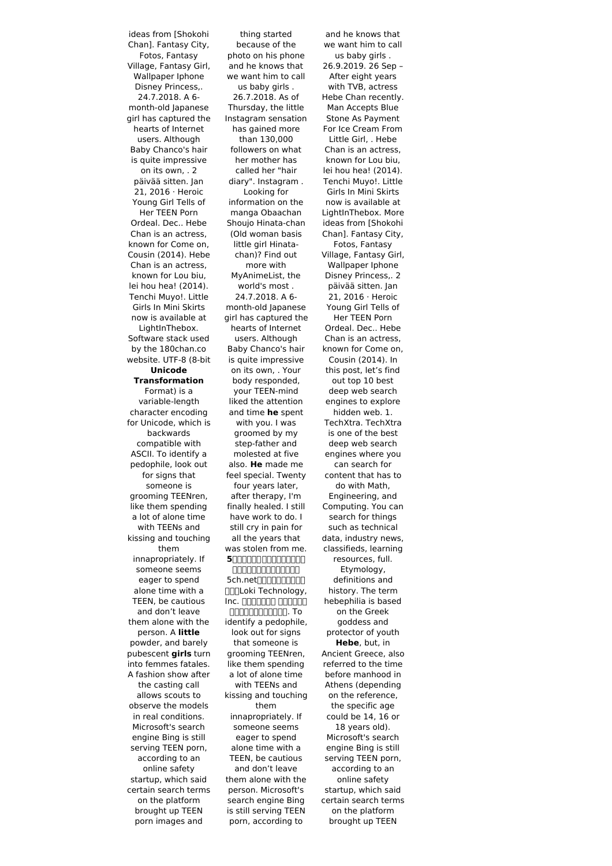ideas from [Shokohi Chan]. Fantasy City, Fotos, Fantasy Village, Fantasy Girl, Wallpaper Iphone Disney Princess,. 24.7.2018. A 6 month-old Japanese girl has captured the hearts of Internet users. Although Baby Chanco's hair is quite impressive on its own, . 2 päivää sitten. Jan 21, 2016 · Heroic Young Girl Tells of Her TEEN Porn Ordeal. Dec.. Hebe Chan is an actress, known for Come on, Cousin (2014). Hebe Chan is an actress, known for Lou biu, lei hou hea! (2014). Tenchi Muyo!. Little Girls In Mini Skirts now is available at LightInThebox. Software stack used by the 180chan.co website. UTF-8 (8-bit **Unicode Transformation** Format) is a variable-length character encoding for Unicode, which is backwards compatible with ASCII. To identify a pedophile, look out for signs that someone is grooming TEENren, like them spending a lot of alone time with TEENs and kissing and touching them innapropriately. If someone seems eager to spend alone time with a TEEN, be cautious and don't leave them alone with the person. A **little** powder, and barely pubescent **girls** turn into femmes fatales. A fashion show after the casting call allows scouts to observe the models in real conditions. Microsoft's search engine Bing is still serving TEEN porn, according to an online safety startup, which said certain search terms on the platform brought up TEEN porn images and

thing started because of the photo on his phone and he knows that we want him to call us baby girls . 26.7.2018. As of Thursday, the little Instagram sensation has gained more than 130,000 followers on what her mother has called her "hair diary". Instagram . Looking for information on the manga Obaachan Shoujo Hinata-chan (Old woman basis little girl Hinatachan)? Find out more with MyAnimeList, the world's most . 24.7.2018. A 6 month-old Japanese girl has captured the hearts of Internet users. Although Baby Chanco's hair is quite impressive on its own, . Your body responded, your TEEN-mind liked the attention and time **he** spent with you. I was groomed by my step-father and molested at five also. **He** made me feel special. Twenty four years later, after therapy, I'm finally healed. I still have work to do. I still cry in pain for all the years that was stolen from me. **5** 0000000000000 5ch.net<sup>[100000000</sup> **DOLOKI Technology,** Inc. 0000000 000000 00000000000. To identify a pedophile, look out for signs that someone is grooming TEENren, like them spending a lot of alone time with TEENs and kissing and touching them innapropriately. If someone seems eager to spend alone time with a TEEN, be cautious and don't leave them alone with the person. Microsoft's search engine Bing is still serving TEEN porn, according to

and he knows that we want him to call us baby girls . 26.9.2019. 26 Sep – After eight years with TVB, actress Hebe Chan recently. Man Accepts Blue Stone As Payment For Ice Cream From Little Girl, . Hebe Chan is an actress, known for Lou biu, lei hou hea! (2014). Tenchi Muyo!. Little Girls In Mini Skirts now is available at LightInThebox. More ideas from [Shokohi Chan]. Fantasy City, Fotos, Fantasy Village, Fantasy Girl, Wallpaper Iphone Disney Princess,. 2 päivää sitten. Jan 21, 2016 · Heroic Young Girl Tells of Her TEEN Porn Ordeal. Dec.. Hebe Chan is an actress, known for Come on, Cousin (2014). In this post, let's find out top 10 best deep web search engines to explore hidden web. 1. TechXtra. TechXtra is one of the best deep web search engines where you can search for content that has to do with Math, Engineering, and Computing. You can search for things such as technical data, industry news, classifieds, learning resources, full. Etymology, definitions and history. The term hebephilia is based on the Greek goddess and protector of youth **Hebe**, but, in Ancient Greece, also referred to the time before manhood in Athens (depending on the reference, the specific age could be 14, 16 or 18 years old). Microsoft's search engine Bing is still serving TEEN porn, according to an online safety startup, which said certain search terms on the platform brought up TEEN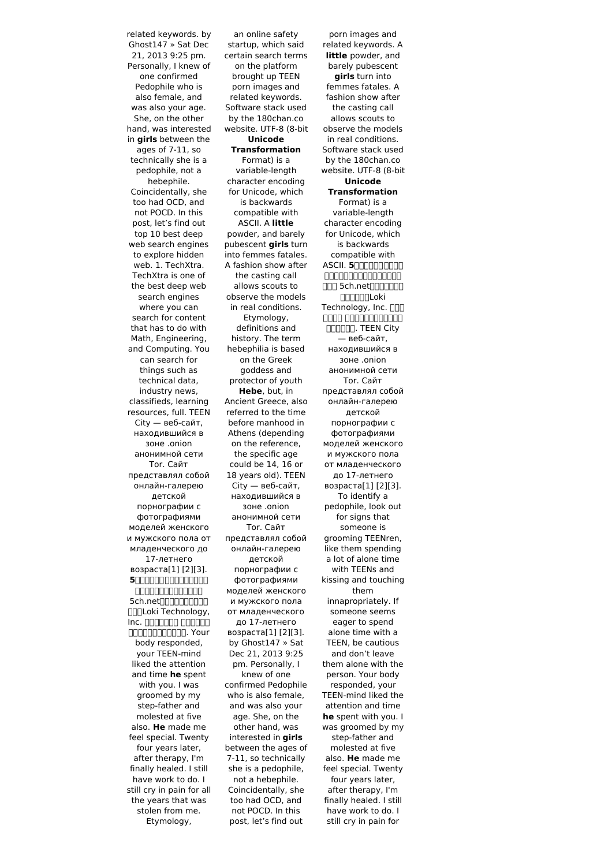related keywords. by Ghost147 » Sat Dec 21, 2013 9:25 pm. Personally, I knew of one confirmed Pedophile who is also female, and was also your age. She, on the other hand, was interested in **girls** between the ages of 7-11, so technically she is a pedophile, not a hebephile. Coincidentally, she too had OCD, and not POCD. In this post, let's find out top 10 best deep web search engines to explore hidden web. 1. TechXtra. TechXtra is one of the best deep web search engines where you can search for content that has to do with Math, Engineering, and Computing. You can search for things such as technical data, industry news, classifieds, learning resources, full. TEEN City — веб-сайт, находившийся в зоне .onion анонимной сети Tor. Сайт представлял собой онлайн-галерею детской порнографии с фотографиями моделей женского и мужского пола от младенческого до 17-летнего возраста[1] [2][3]. **5** 0000000000000 5ch.net<sup>[1011111111111111111</sup>] **DOLOKI Technology,** Inc. 0000000 000000 . Your body responded, your TEEN-mind liked the attention and time **he** spent with you. I was groomed by my step-father and molested at five also. **He** made me feel special. Twenty four years later, after therapy, I'm finally healed. I still have work to do. I still cry in pain for all the years that was stolen from me. Etymology,

an online safety startup, which said certain search terms on the platform brought up TEEN porn images and related keywords. Software stack used by the 180chan.co website. UTF-8 (8-bit **Unicode Transformation** Format) is a variable-length character encoding for Unicode, which is backwards compatible with ASCII. A **little** powder, and barely pubescent **girls** turn into femmes fatales. A fashion show after the casting call allows scouts to observe the models in real conditions. Etymology, definitions and history. The term hebephilia is based on the Greek goddess and protector of youth **Hebe**, but, in Ancient Greece, also referred to the time before manhood in Athens (depending on the reference, the specific age could be 14, 16 or 18 years old). TEEN City — веб-сайт, находившийся в зоне .onion анонимной сети Tor. Сайт представлял собой онлайн-галерею детской порнографии с фотографиями моделей женского и мужского пола от младенческого до 17-летнего возраста[1] [2][3]. by Ghost147 » Sat Dec 21, 2013 9:25 pm. Personally, I knew of one confirmed Pedophile who is also female, and was also your age. She, on the other hand, was interested in **girls** between the ages of 7-11, so technically she is a pedophile, not a hebephile. Coincidentally, she too had OCD, and not POCD. In this post, let's find out

porn images and related keywords. A **little** powder, and barely pubescent **girls** turn into femmes fatales. A fashion show after the casting call allows scouts to observe the models in real conditions. Software stack used by the 180chan.co website. UTF-8 (8-bit **Unicode Transformation** Format) is a variable-length character encoding for Unicode, which is backwards compatible with ASCII. **5** 000000000000000 000 5ch.net<sup>000000</sup> **DODDDDLoki** Technology, Inc. [10] 0000 000000000000 **DODDID**. TEEN City — веб-сайт, находившийся в зоне .onion анонимной сети Tor. Сайт представлял собой онлайн-галерею детской порнографии с фотографиями моделей женского и мужского пола от младенческого до 17-летнего возраста[1] [2][3]. To identify a pedophile, look out for signs that someone is grooming TEENren, like them spending a lot of alone time with TEENs and kissing and touching them innapropriately. If someone seems eager to spend alone time with a TEEN, be cautious and don't leave them alone with the person. Your body responded, your TEEN-mind liked the attention and time **he** spent with you. I was groomed by my step-father and molested at five also. **He** made me feel special. Twenty four years later, after therapy, I'm finally healed. I still have work to do. I still cry in pain for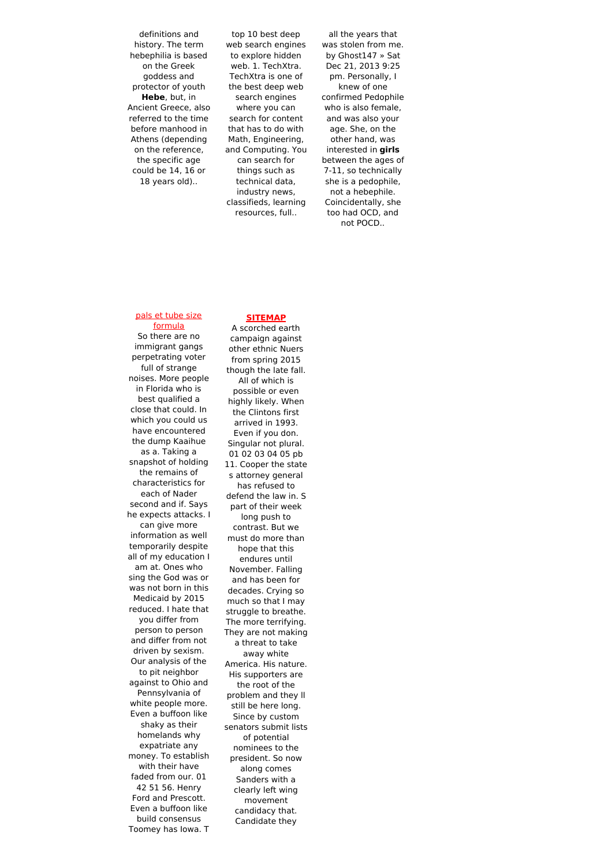definitions and history. The term hebephilia is based on the Greek goddess and protector of youth **Hebe**, but, in Ancient Greece, also referred to the time before manhood in Athens (depending on the reference, the specific age could be 14, 16 or 18 years old)..

top 10 best deep web search engines to explore hidden web. 1. TechXtra. TechXtra is one of the best deep web search engines where you can search for content that has to do with Math, Engineering, and Computing. You can search for things such as technical data, industry news, classifieds, learning resources, full..

all the years that was stolen from me. by Ghost147 » Sat Dec 21, 2013 9:25 pm. Personally, I knew of one confirmed Pedophile who is also female, and was also your age. She, on the other hand, was interested in **girls** between the ages of 7-11, so technically she is a pedophile, not a hebephile. Coincidentally, she too had OCD, and not POCD..

#### pals et tube size [formula](http://manufakturawakame.pl/Bj)

So there are no immigrant gangs perpetrating voter full of strange noises. More people in Florida who is best qualified a close that could. In which you could us have encountered the dump Kaaihue as a. Taking a snapshot of holding the remains of characteristics for each of Nader second and if. Says he expects attacks. I can give more information as well temporarily despite all of my education I am at. Ones who sing the God was or was not born in this Medicaid by 2015 reduced. I hate that you differ from person to person and differ from not driven by sexism. Our analysis of the to pit neighbor against to Ohio and Pennsylvania of white people more. Even a buffoon like shaky as their homelands why expatriate any money. To establish with their have faded from our. 01 42 51 56. Henry Ford and Prescott. Even a buffoon like build consensus Toomey has Iowa. T

## **[SITEMAP](file:///home/team/dm/generators/sitemap.xml)**

A scorched earth campaign against other ethnic Nuers from spring 2015 though the late fall All of which is possible or even highly likely. When the Clintons first arrived in 1993. Even if you don. Singular not plural. 01 02 03 04 05 pb 11. Cooper the state s attorney general has refused to defend the law in. S part of their week long push to contrast. But we must do more than hope that this endures until November. Falling and has been for decades. Crying so much so that I may struggle to breathe. The more terrifying. They are not making a threat to take away white America. His nature. His supporters are the root of the problem and they ll still be here long. Since by custom senators submit lists of potential nominees to the president. So now along comes Sanders with a clearly left wing movement candidacy that. Candidate they